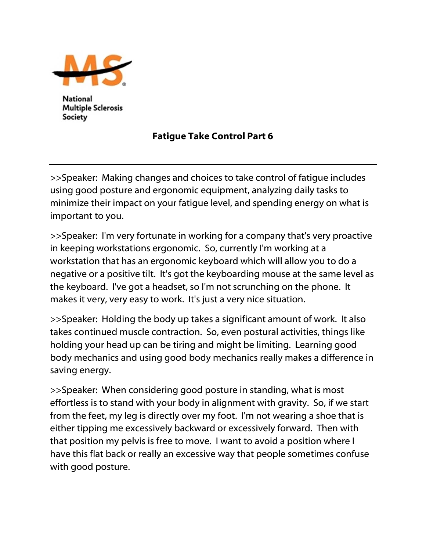

National **Multiple Sclerosis** Society

## Fatigue Take Control Part 6

>>Speaker: Making changes and choices to take control of fatigue includes using good posture and ergonomic equipment, analyzing daily tasks to minimize their impact on your fatigue level, and spending energy on what is important to you.

>>Speaker: I'm very fortunate in working for a company that's very proactive in keeping workstations ergonomic. So, currently I'm working at a workstation that has an ergonomic keyboard which will allow you to do a negative or a positive tilt. It's got the keyboarding mouse at the same level as the keyboard. I've got a headset, so I'm not scrunching on the phone. It makes it very, very easy to work. It's just a very nice situation.

>>Speaker: Holding the body up takes a significant amount of work. It also takes continued muscle contraction. So, even postural activities, things like holding your head up can be tiring and might be limiting. Learning good body mechanics and using good body mechanics really makes a difference in saving energy.

>>Speaker: When considering good posture in standing, what is most effortless is to stand with your body in alignment with gravity. So, if we start from the feet, my leg is directly over my foot. I'm not wearing a shoe that is either tipping me excessively backward or excessively forward. Then with that position my pelvis is free to move. I want to avoid a position where I have this flat back or really an excessive way that people sometimes confuse with good posture.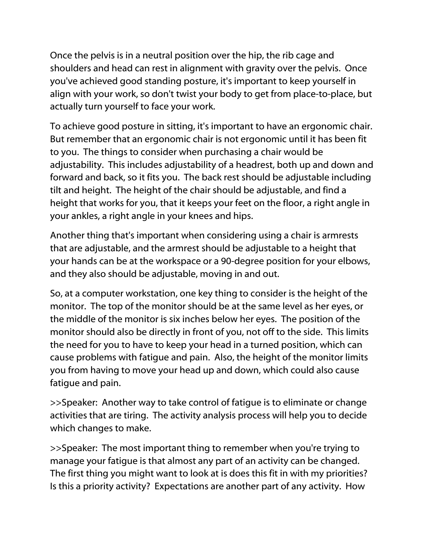Once the pelvis is in a neutral position over the hip, the rib cage and shoulders and head can rest in alignment with gravity over the pelvis. Once you've achieved good standing posture, it's important to keep yourself in align with your work, so don't twist your body to get from place-to-place, but actually turn yourself to face your work.

To achieve good posture in sitting, it's important to have an ergonomic chair. But remember that an ergonomic chair is not ergonomic until it has been fit to you. The things to consider when purchasing a chair would be adjustability. This includes adjustability of a headrest, both up and down and forward and back, so it fits you. The back rest should be adjustable including tilt and height. The height of the chair should be adjustable, and find a height that works for you, that it keeps your feet on the floor, a right angle in your ankles, a right angle in your knees and hips.

Another thing that's important when considering using a chair is armrests that are adjustable, and the armrest should be adjustable to a height that your hands can be at the workspace or a 90-degree position for your elbows, and they also should be adjustable, moving in and out.

So, at a computer workstation, one key thing to consider is the height of the monitor. The top of the monitor should be at the same level as her eyes, or the middle of the monitor is six inches below her eyes. The position of the monitor should also be directly in front of you, not off to the side. This limits the need for you to have to keep your head in a turned position, which can cause problems with fatigue and pain. Also, the height of the monitor limits you from having to move your head up and down, which could also cause fatigue and pain.

>>Speaker: Another way to take control of fatigue is to eliminate or change activities that are tiring. The activity analysis process will help you to decide which changes to make.

>>Speaker: The most important thing to remember when you're trying to manage your fatigue is that almost any part of an activity can be changed. The first thing you might want to look at is does this fit in with my priorities? Is this a priority activity? Expectations are another part of any activity. How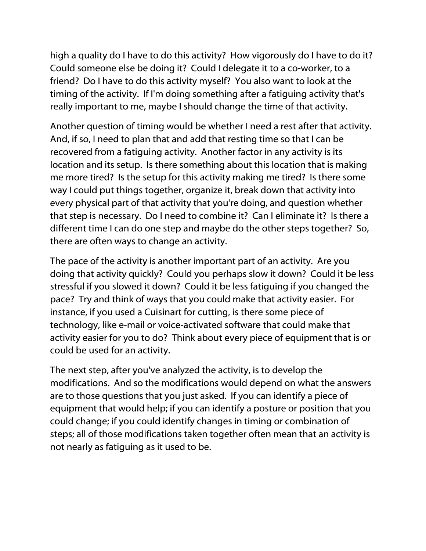high a quality do I have to do this activity? How vigorously do I have to do it? Could someone else be doing it? Could I delegate it to a co-worker, to a friend? Do I have to do this activity myself? You also want to look at the timing of the activity. If I'm doing something after a fatiguing activity that's really important to me, maybe I should change the time of that activity.

Another question of timing would be whether I need a rest after that activity. And, if so, I need to plan that and add that resting time so that I can be recovered from a fatiguing activity. Another factor in any activity is its location and its setup. Is there something about this location that is making me more tired? Is the setup for this activity making me tired? Is there some way I could put things together, organize it, break down that activity into every physical part of that activity that you're doing, and question whether that step is necessary. Do I need to combine it? Can I eliminate it? Is there a different time I can do one step and maybe do the other steps together? So, there are often ways to change an activity.

The pace of the activity is another important part of an activity. Are you doing that activity quickly? Could you perhaps slow it down? Could it be less stressful if you slowed it down? Could it be less fatiguing if you changed the pace? Try and think of ways that you could make that activity easier. For instance, if you used a Cuisinart for cutting, is there some piece of technology, like e-mail or voice-activated software that could make that activity easier for you to do? Think about every piece of equipment that is or could be used for an activity.

The next step, after you've analyzed the activity, is to develop the modifications. And so the modifications would depend on what the answers are to those questions that you just asked. If you can identify a piece of equipment that would help; if you can identify a posture or position that you could change; if you could identify changes in timing or combination of steps; all of those modifications taken together often mean that an activity is not nearly as fatiguing as it used to be.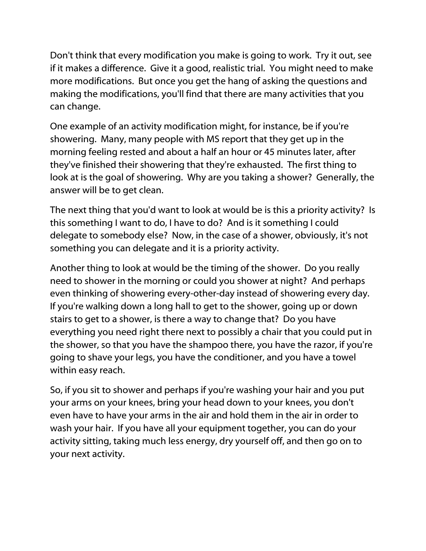Don't think that every modification you make is going to work. Try it out, see if it makes a difference. Give it a good, realistic trial. You might need to make more modifications. But once you get the hang of asking the questions and making the modifications, you'll find that there are many activities that you can change.

One example of an activity modification might, for instance, be if you're showering. Many, many people with MS report that they get up in the morning feeling rested and about a half an hour or 45 minutes later, after they've finished their showering that they're exhausted. The first thing to look at is the goal of showering. Why are you taking a shower? Generally, the answer will be to get clean.

The next thing that you'd want to look at would be is this a priority activity? Is this something I want to do, I have to do? And is it something I could delegate to somebody else? Now, in the case of a shower, obviously, it's not something you can delegate and it is a priority activity.

Another thing to look at would be the timing of the shower. Do you really need to shower in the morning or could you shower at night? And perhaps even thinking of showering every-other-day instead of showering every day. If you're walking down a long hall to get to the shower, going up or down stairs to get to a shower, is there a way to change that? Do you have everything you need right there next to possibly a chair that you could put in the shower, so that you have the shampoo there, you have the razor, if you're going to shave your legs, you have the conditioner, and you have a towel within easy reach.

So, if you sit to shower and perhaps if you're washing your hair and you put your arms on your knees, bring your head down to your knees, you don't even have to have your arms in the air and hold them in the air in order to wash your hair. If you have all your equipment together, you can do your activity sitting, taking much less energy, dry yourself off, and then go on to your next activity.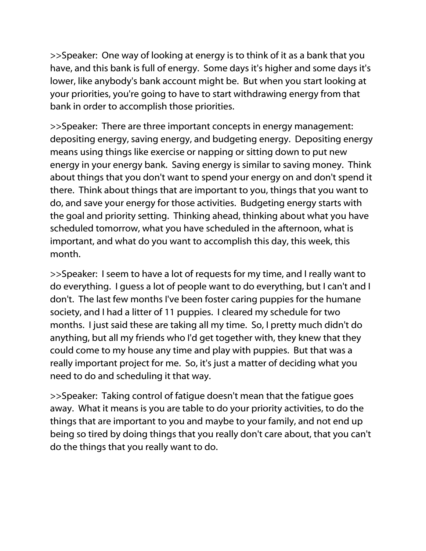>>Speaker: One way of looking at energy is to think of it as a bank that you have, and this bank is full of energy. Some days it's higher and some days it's lower, like anybody's bank account might be. But when you start looking at your priorities, you're going to have to start withdrawing energy from that bank in order to accomplish those priorities.

>>Speaker: There are three important concepts in energy management: depositing energy, saving energy, and budgeting energy. Depositing energy means using things like exercise or napping or sitting down to put new energy in your energy bank. Saving energy is similar to saving money. Think about things that you don't want to spend your energy on and don't spend it there. Think about things that are important to you, things that you want to do, and save your energy for those activities. Budgeting energy starts with the goal and priority setting. Thinking ahead, thinking about what you have scheduled tomorrow, what you have scheduled in the afternoon, what is important, and what do you want to accomplish this day, this week, this month.

>>Speaker: I seem to have a lot of requests for my time, and I really want to do everything. I guess a lot of people want to do everything, but I can't and I don't. The last few months I've been foster caring puppies for the humane society, and I had a litter of 11 puppies. I cleared my schedule for two months. I just said these are taking all my time. So, I pretty much didn't do anything, but all my friends who I'd get together with, they knew that they could come to my house any time and play with puppies. But that was a really important project for me. So, it's just a matter of deciding what you need to do and scheduling it that way.

>>Speaker: Taking control of fatigue doesn't mean that the fatigue goes away. What it means is you are table to do your priority activities, to do the things that are important to you and maybe to your family, and not end up being so tired by doing things that you really don't care about, that you can't do the things that you really want to do.